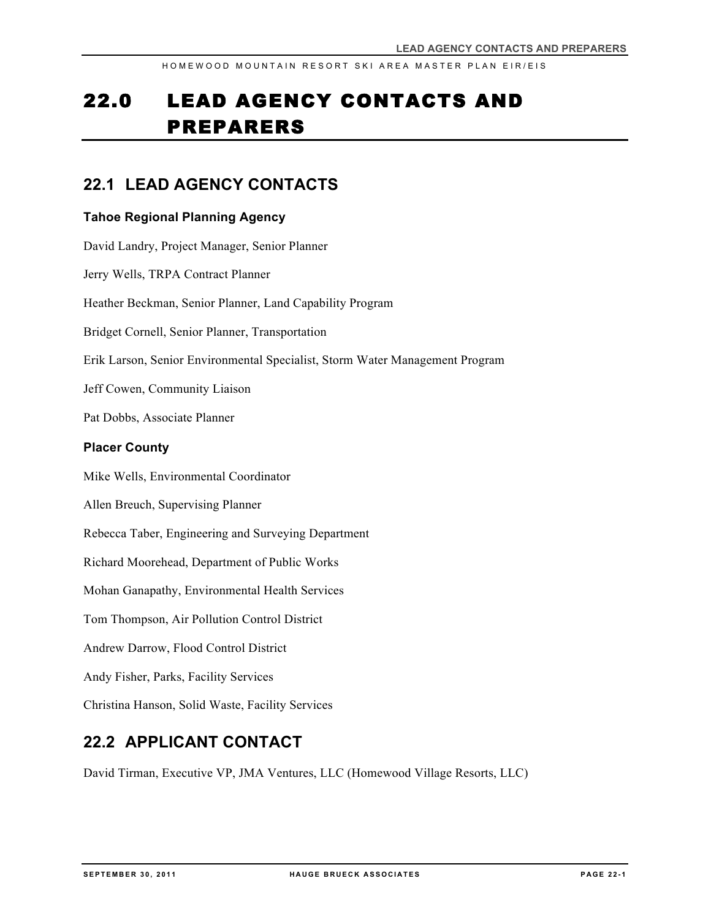# 22.0 LEAD AGENCY CONTACTS AND PREPARERS

### **22.1 LEAD AGENCY CONTACTS**

#### **Tahoe Regional Planning Agency**

David Landry, Project Manager, Senior Planner Jerry Wells, TRPA Contract Planner Heather Beckman, Senior Planner, Land Capability Program Bridget Cornell, Senior Planner, Transportation Erik Larson, Senior Environmental Specialist, Storm Water Management Program Jeff Cowen, Community Liaison Pat Dobbs, Associate Planner **Placer County** Mike Wells, Environmental Coordinator Allen Breuch, Supervising Planner Rebecca Taber, Engineering and Surveying Department Richard Moorehead, Department of Public Works Mohan Ganapathy, Environmental Health Services Tom Thompson, Air Pollution Control District Andrew Darrow, Flood Control District Andy Fisher, Parks, Facility Services Christina Hanson, Solid Waste, Facility Services

## **22.2 APPLICANT CONTACT**

David Tirman, Executive VP, JMA Ventures, LLC (Homewood Village Resorts, LLC)